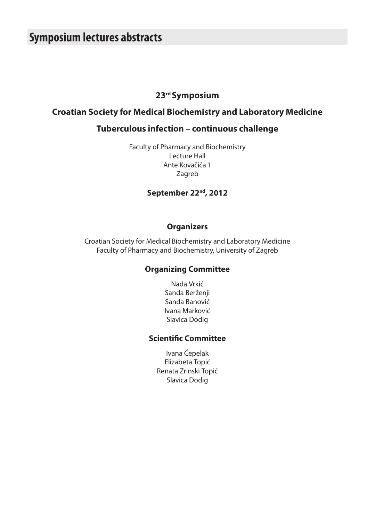# **Symposium lectures abstracts**

### **23rd Symposium**

### **Croatian Society for Medical Biochemistry and Laboratory Medicine**

### **Tuberculous infection – continuous challenge**

Faculty of Pharmacy and Biochemistry Lecture Hall Ante Kovačića 1 Zagreb

### **September 22nd, 2012**

#### **Organizers**

Croatian Society for Medical Biochemistry and Laboratory Medicine Faculty of Pharmacy and Biochemistry, University of Zagreb

#### **Organizing Committee**

Nada Vrkić Sanda Berženji Sanda Banović Ivana Marković Slavica Dodig

#### **Scientific Committee**

Ivana Čepelak Elizabeta Topić Renata Zrinski Topić Slavica Dodig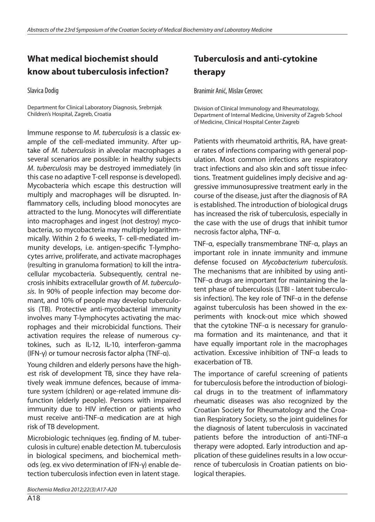## **What medical biochemist should know about tuberculosis infection?**

Slavica Dodig

Department for Clinical Laboratory Diagnosis, Srebrnjak Children's Hospital, Zagreb, Croatia

Immune response to *M. tuberculosis* is a classic example of the cell-mediated immunity. After uptake of *M. tuberculosis* in alveolar macrophages a several scenarios are possible: in healthy subjects *M. tuberculosis* may be destroyed immediately (in this case no adaptive T-cell response is developed). Mycobacteria which escape this destruction will multiply and macrophages will be disrupted. Inflammatory cells, including blood monocytes are attracted to the lung. Monocytes will differentiate into macrophages and ingest (not destroy) mycobacteria, so mycobacteria may multiply logarithmmically. Within 2 fo 6 weeks, T- cell-mediated immunity develops, i.e. antigen-specific T-lymphocytes arrive, proliferate, and activate macrophages (resulting in granuloma formation) to kill the intracellular mycobacteria. Subsequently, central necrosis inhibits extracellular growth of *M. tuberculosis*. In 90% of people infection may become dormant, and 10% of people may develop tuberculosis (TB). Protective anti-mycobacterial immunity involves many T-lymphocytes activating the macrophages and their microbicidal functions. Their activation requires the release of numerous cytokines, such as IL-12, IL-10, interferon-gamma (IFN-γ) or tumour necrosis factor alpha (TNF-α).

Young children and elderly persons have the highest risk of development TB, since they have relatively weak immune defences, because of immature system (children) or age-related immune disfunction (elderly people). Persons with impaired immunity due to HIV infection or patients who must receive anti-TNF-α medication are at high risk of TB development.

Microbiologic techniques (eg. finding of M. tuberculosis in culture) enable detection M. tuberculosis in biological specimens, and biochemical methods (eg. ex vivo determination of IFN-γ) enable detection tuberculosis infection even in latent stage.

# **Tuberculosis and anti-cytokine therapy**

Branimir Anić, Mislav Cerovec

Division of Clinical Immunology and Rheumatology, Department of Internal Medicine, University of Zagreb School of Medicine, Clinical Hospital Center Zagreb

Patients with rheumatoid arthritis, RA, have greater rates of infections comparing with general population. Most common infections are respiratory tract infections and also skin and soft tissue infections. Treatment guidelines imply decisive and aggressive immunosupressive treatment early in the course of the disease, just after the diagnosis of RA is established. The introduction of biological drugs has increased the risk of tuberculosis, especially in the case with the use of drugs that inhibit tumor necrosis factor alpha, TNF-α.

TNF-α, especially transmembrane TNF-α, plays an important role in innate immunity and immune defense focused on *Mycobacterium tuberculosis*. The mechanisms that are inhibited by using anti-TNF-α drugs are important for maintaining the latent phase of tuberculosis (LTBI - latent tuberculosis infection). The key role of TNF-α in the defense against tuberculosis has been showed in the experiments with knock-out mice which showed that the cytokine TNF-α is necessary for granuloma formation and its maintenance, and that it have equally important role in the macrophages activation. Excessive inhibition of TNF-α leads to exacerbation of TB.

The importance of careful screening of patients for tuberculosis before the introduction of biological drugs in to the treatment of inflammatory rheumatic diseases was also recognized by the Croatian Society for Rheumatology and the Croatian Respiratory Society, so the joint guidelines for the diagnosis of latent tuberculosis in vaccinated patients before the introduction of anti-TNF-α therapy were adopted. Early introduction and application of these guidelines results in a low occurrence of tuberculosis in Croatian patients on biological therapies.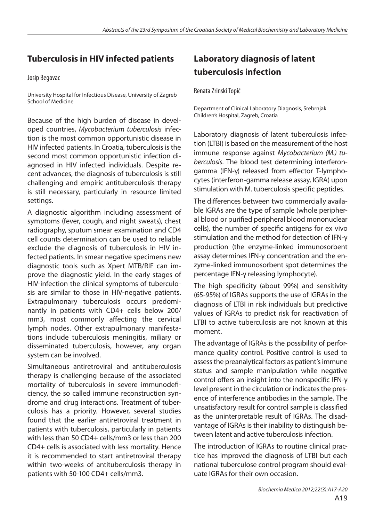## **Tuberculosis in HIV infected patients**

Josip Begovac

University Hospital for Infectious Disease, University of Zagreb School of Medicine

Because of the high burden of disease in developed countries, *Mycobacterium tuberculosis* infection is the most common opportunistic disease in HIV infected patients. In Croatia, tuberculosis is the second most common opportunistic infection diagnosed in HIV infected individuals. Despite recent advances, the diagnosis of tuberculosis is still challenging and empiric antituberculosis therapy is still necessary, particularly in resource limited settings.

A diagnostic algorithm including assessment of symptoms (fever, cough, and night sweats), chest radiography, sputum smear examination and CD4 cell counts determination can be used to reliable exclude the diagnosis of tuberculosis in HIV infected patients. In smear negative specimens new diagnostic tools such as Xpert MTB/RIF can improve the diagnostic yield. In the early stages of HIV-infection the clinical symptoms of tuberculosis are similar to those in HIV-negative patients. Extrapulmonary tuberculosis occurs predominantly in patients with CD4+ cells below 200/ mm3, most commonly affecting the cervical lymph nodes. Other extrapulmonary manifestations include tuberculosis meningitis, miliary or disseminated tuberculosis, however, any organ system can be involved.

Simultaneous antiretroviral and antituberculosis therapy is challenging because of the associated mortality of tuberculosis in severe immunodeficiency, the so called immune reconstruction syndrome and drug interactions. Treatment of tuberculosis has a priority. However, several studies found that the earlier antiretroviral treatment in patients with tuberculosis, particularly in patients with less than 50 CD4+ cells/mm3 or less than 200 CD4+ cells is associated with less mortality. Hence it is recommended to start antiretroviral therapy within two-weeks of antituberculosis therapy in patients with 50-100 CD4+ cells/mm3.

# **Laboratory diagnosis of latent tuberculosis infection**

Renata Zrinski Topić

Department of Clinical Laboratory Diagnosis, Srebrnjak Children's Hospital, Zagreb, Croatia

Laboratory diagnosis of latent tuberculosis infection (LTBI) is based on the measurement of the host immune response against *Mycobacterium (M.) tuberculosis*. The blood test determining interferongamma (IFN-γ) released from effector T-lymphocytes (interferon-gamma release assay, IGRA) upon stimulation with M. tuberculosis specific peptides.

The differences between two commercially available IGRAs are the type of sample (whole peripheral blood or purified peripheral blood mononuclear cells), the number of specific antigens for ex vivo stimulation and the method for detection of IFN-γ production (the enzyme-linked immunosorbent assay determines IFN-γ concentration and the enzyme-linked immunosorbent spot determines the percentage IFN-γ releasing lymphocyte).

The high specificity (about 99%) and sensitivity (65-95%) of IGRAs supports the use of IGRAs in the diagnosis of LTBI in risk individuals but predictive values of IGRAs to predict risk for reactivation of LTBI to active tuberculosis are not known at this moment.

The advantage of IGRAs is the possibility of performance quality control. Positive control is used to assess the preanalytical factors as patient's immune status and sample manipulation while negative control offers an insight into the nonspecific IFN-γ level present in the circulation or indicates the presence of interference antibodies in the sample. The unsatisfactory result for control sample is classified as the uninterpretable result of IGRAs. The disadvantage of IGRAs is their inability to distinguish between latent and active tuberculosis infection.

The introduction of IGRAs to routine clinical practice has improved the diagnosis of LTBI but each national tuberculose control program should evaluate IGRAs for their own occasion.